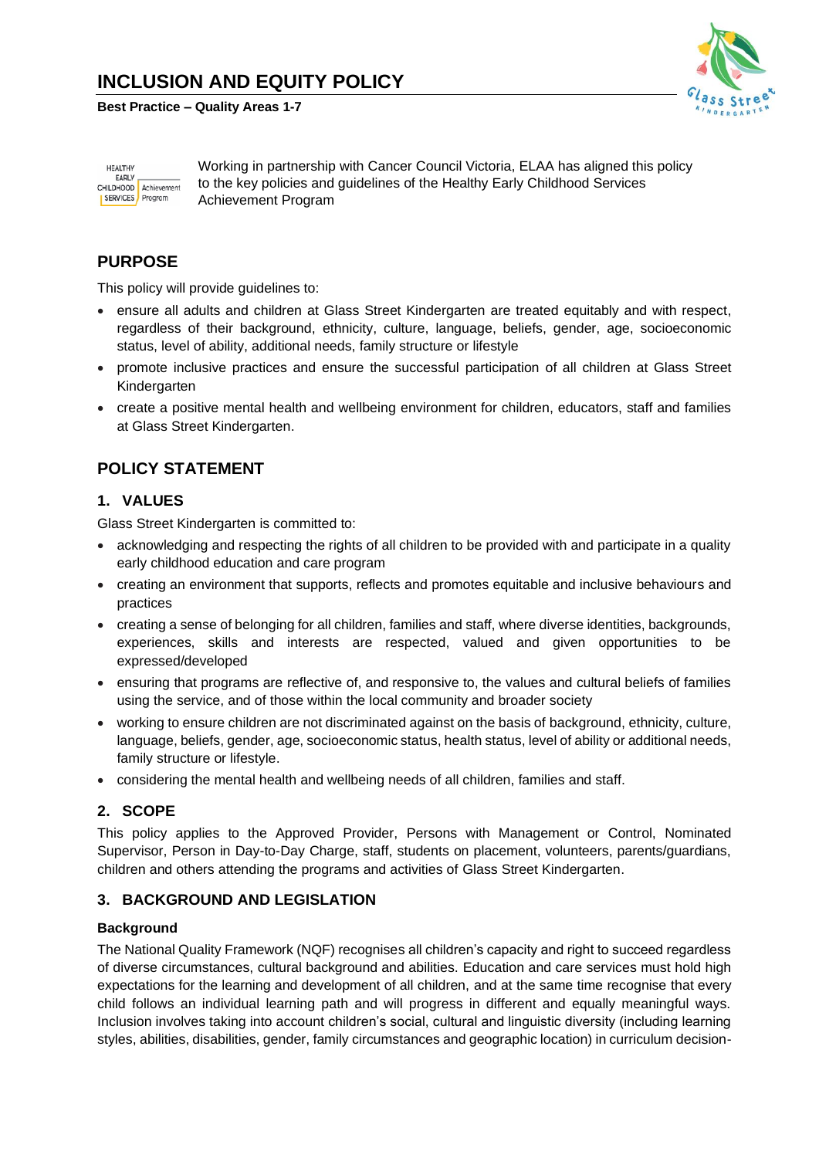# **INCLUSION AND EQUITY POLICY**

**Best Practice – Quality Areas 1-7**



**HEALTHY** EARLY CHILDHOOD<br>SERVICES Program Working in partnership with Cancer Council Victoria, ELAA has aligned this policy to the key policies and guidelines of the Healthy Early Childhood Services Achievement Program

## **PURPOSE**

This policy will provide guidelines to:

- ensure all adults and children at Glass Street Kindergarten are treated equitably and with respect, regardless of their background, ethnicity, culture, language, beliefs, gender, age, socioeconomic status, level of ability, additional needs, family structure or lifestyle
- promote inclusive practices and ensure the successful participation of all children at Glass Street Kindergarten
- create a positive mental health and wellbeing environment for children, educators, staff and families at Glass Street Kindergarten.

# **POLICY STATEMENT**

#### **1. VALUES**

Glass Street Kindergarten is committed to:

- acknowledging and respecting the rights of all children to be provided with and participate in a quality early childhood education and care program
- creating an environment that supports, reflects and promotes equitable and inclusive behaviours and practices
- creating a sense of belonging for all children, families and staff, where diverse identities, backgrounds, experiences, skills and interests are respected, valued and given opportunities to be expressed/developed
- ensuring that programs are reflective of, and responsive to, the values and cultural beliefs of families using the service, and of those within the local community and broader society
- working to ensure children are not discriminated against on the basis of background, ethnicity, culture, language, beliefs, gender, age, socioeconomic status, health status, level of ability or additional needs, family structure or lifestyle.
- considering the mental health and wellbeing needs of all children, families and staff.

### **2. SCOPE**

This policy applies to the Approved Provider, Persons with Management or Control, Nominated Supervisor, Person in Day-to-Day Charge, staff, students on placement, volunteers, parents/guardians, children and others attending the programs and activities of Glass Street Kindergarten.

#### **3. BACKGROUND AND LEGISLATION**

#### **Background**

The National Quality Framework (NQF) recognises all children's capacity and right to succeed regardless of diverse circumstances, cultural background and abilities. Education and care services must hold high expectations for the learning and development of all children, and at the same time recognise that every child follows an individual learning path and will progress in different and equally meaningful ways. Inclusion involves taking into account children's social, cultural and linguistic diversity (including learning styles, abilities, disabilities, gender, family circumstances and geographic location) in curriculum decision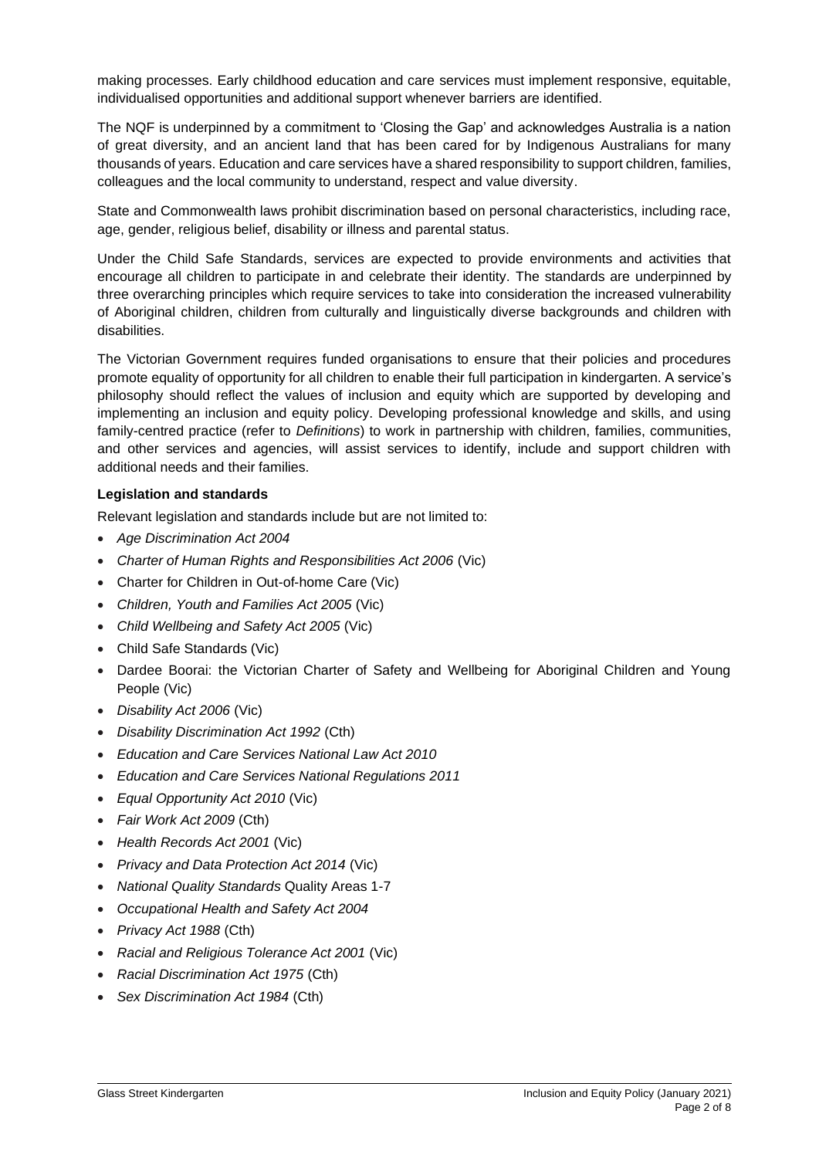making processes. Early childhood education and care services must implement responsive, equitable, individualised opportunities and additional support whenever barriers are identified.

The NQF is underpinned by a commitment to 'Closing the Gap' and acknowledges Australia is a nation of great diversity, and an ancient land that has been cared for by Indigenous Australians for many thousands of years. Education and care services have a shared responsibility to support children, families, colleagues and the local community to understand, respect and value diversity.

State and Commonwealth laws prohibit discrimination based on personal characteristics, including race, age, gender, religious belief, disability or illness and parental status.

Under the Child Safe Standards, services are expected to provide environments and activities that encourage all children to participate in and celebrate their identity. The standards are underpinned by three overarching principles which require services to take into consideration the increased vulnerability of Aboriginal children, children from culturally and linguistically diverse backgrounds and children with disabilities.

The Victorian Government requires funded organisations to ensure that their policies and procedures promote equality of opportunity for all children to enable their full participation in kindergarten. A service's philosophy should reflect the values of inclusion and equity which are supported by developing and implementing an inclusion and equity policy. Developing professional knowledge and skills, and using family-centred practice (refer to *Definitions*) to work in partnership with children, families, communities, and other services and agencies, will assist services to identify, include and support children with additional needs and their families.

#### **Legislation and standards**

Relevant legislation and standards include but are not limited to:

- *Age Discrimination Act 2004*
- *[Charter of Human Rights and Responsibilities Act 2006](http://www.legislation.vic.gov.au/Domino/Web_Notes/LDMS/PubStatbook.nsf/f932b66241ecf1b7ca256e92000e23be/54d73763ef9dca36ca2571b6002428b0!OpenDocument)* (Vic)
- Charter for Children in Out-of-home Care (Vic)
- *Children, Youth and Families Act 2005* (Vic)
- *Child Wellbeing and Safety Act 2005* (Vic)
- Child Safe Standards (Vic)
- Dardee Boorai: the Victorian Charter of Safety and Wellbeing for Aboriginal Children and Young People (Vic)
- *Disability Act 2006* (Vic)
- *Disability Discrimination Act 1992* (Cth)
- *Education and Care Services National Law Act 2010*
- *Education and Care Services National Regulations 2011*
- *Equal Opportunity Act 2010* (Vic)
- *Fair Work Act 2009* (Cth)
- *Health Records Act 2001* (Vic)
- *Privacy and Data Protection Act 2014* (Vic)
- *National Quality Standards* Quality Areas 1-7
- *Occupational Health and Safety Act 2004*
- *Privacy Act 1988* (Cth)
- *Racial and Religious Tolerance Act 2001* (Vic)
- *Racial Discrimination Act 1975* (Cth)
- *Sex Discrimination Act 1984* (Cth)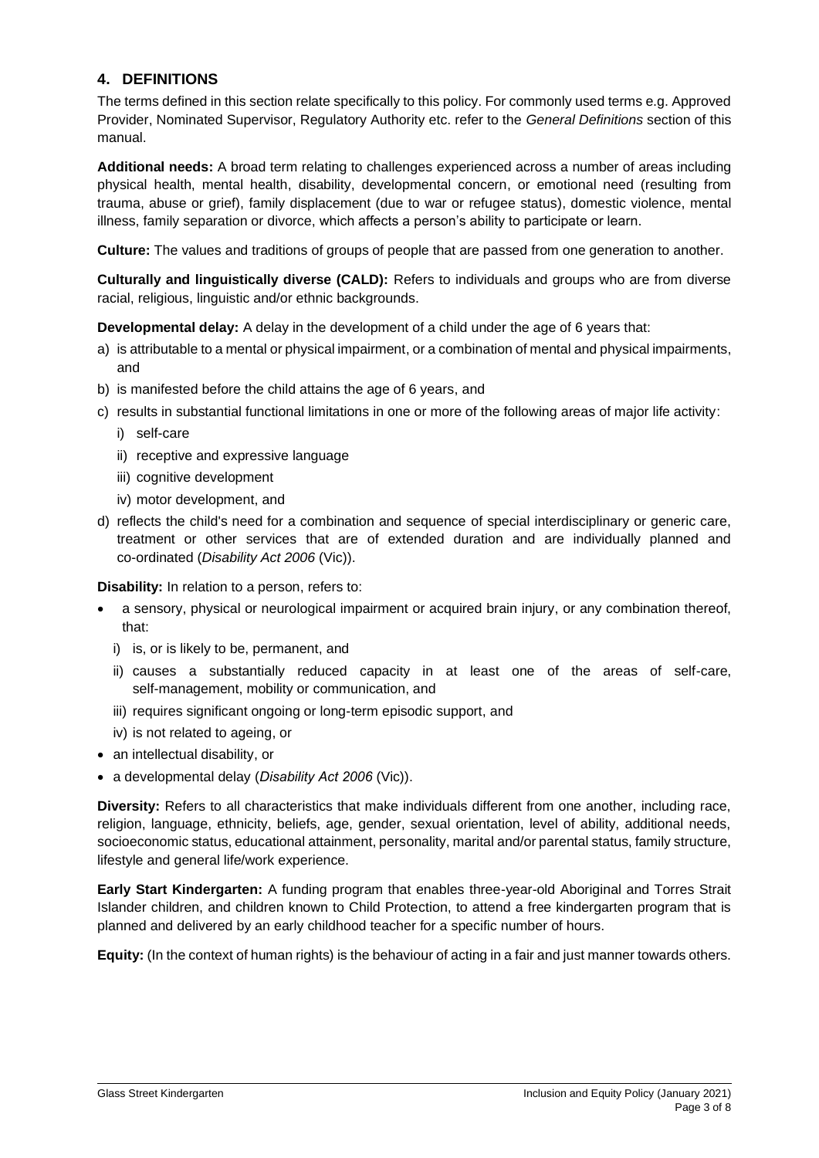### **4. DEFINITIONS**

The terms defined in this section relate specifically to this policy. For commonly used terms e.g. Approved Provider, Nominated Supervisor, Regulatory Authority etc. refer to the *General Definitions* section of this manual.

**Additional needs:** A broad term relating to challenges experienced across a number of areas including physical health, mental health, disability, developmental concern, or emotional need (resulting from trauma, abuse or grief), family displacement (due to war or refugee status), domestic violence, mental illness, family separation or divorce, which affects a person's ability to participate or learn.

**Culture:** The values and traditions of groups of people that are passed from one generation to another.

**Culturally and linguistically diverse (CALD):** Refers to individuals and groups who are from diverse racial, religious, linguistic and/or ethnic backgrounds.

**Developmental delay:** A delay in the development of a child under the age of 6 years that:

- a) is attributable to a mental or physical impairment, or a combination of mental and physical impairments, and
- b) is manifested before the child attains the age of 6 years, and
- c) results in substantial functional limitations in one or more of the following areas of major life activity:
	- i) self-care
	- ii) receptive and expressive language
	- iii) cognitive development
	- iv) motor development, and
- d) reflects the child's need for a combination and sequence of special interdisciplinary or generic care, treatment or other services that are of extended duration and are individually planned and co-ordinated (*Disability Act 2006* (Vic)).

**Disability:** In relation to a person, refers to:

- a sensory, physical or neurological impairment or acquired brain injury, or any combination thereof, that:
	- i) is, or is likely to be, permanent, and
	- ii) causes a substantially reduced capacity in at least one of the areas of self-care, self-management, mobility or communication, and
	- iii) requires significant ongoing or long-term episodic support, and
	- iv) is not related to ageing, or
- an intellectual disability, or
- a developmental delay (*Disability Act 2006* (Vic)).

**Diversity:** Refers to all characteristics that make individuals different from one another, including race, religion, language, ethnicity, beliefs, age, gender, sexual orientation, level of ability, additional needs, socioeconomic status, educational attainment, personality, marital and/or parental status, family structure, lifestyle and general life/work experience.

**Early Start Kindergarten:** A funding program that enables three-year-old Aboriginal and Torres Strait Islander children, and children known to Child Protection, to attend a free kindergarten program that is planned and delivered by an early childhood teacher for a specific number of hours.

**Equity:** (In the context of human rights) is the behaviour of acting in a fair and just manner towards others.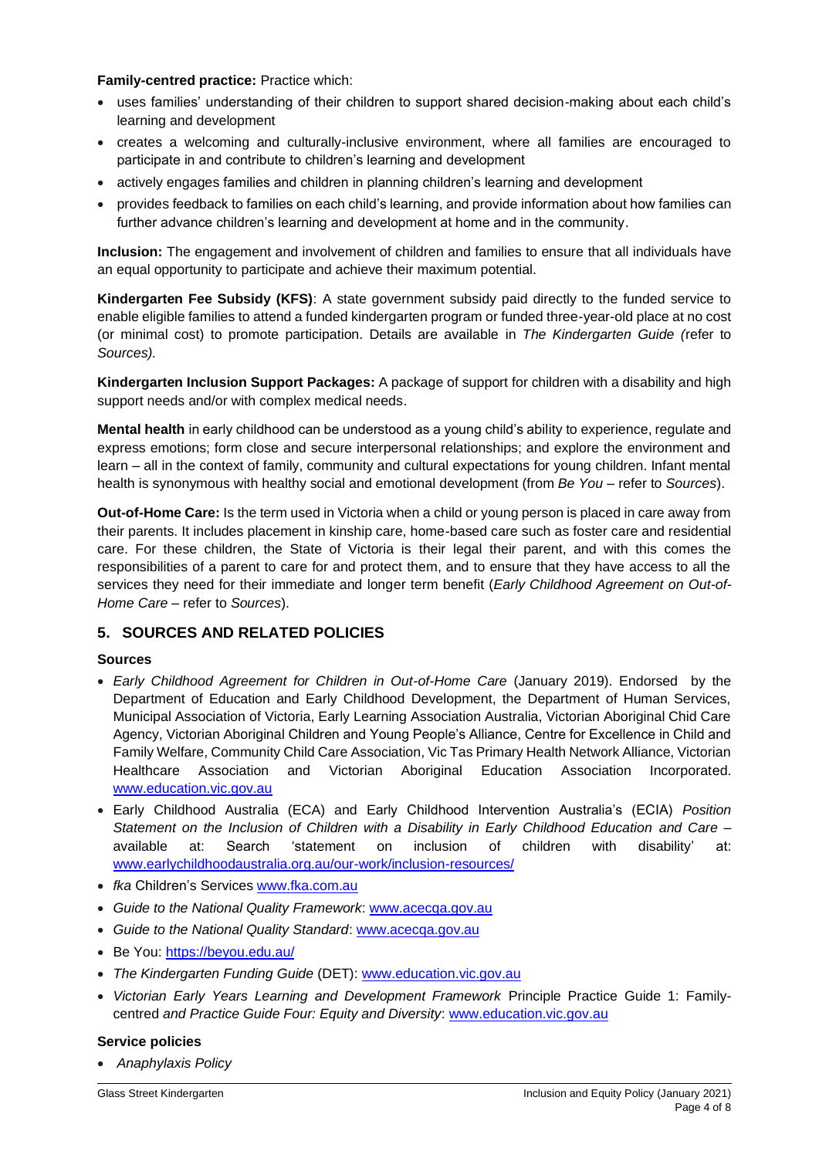#### **Family-centred practice:** Practice which:

- uses families' understanding of their children to support shared decision-making about each child's learning and development
- creates a welcoming and culturally-inclusive environment, where all families are encouraged to participate in and contribute to children's learning and development
- actively engages families and children in planning children's learning and development
- provides feedback to families on each child's learning, and provide information about how families can further advance children's learning and development at home and in the community.

**Inclusion:** The engagement and involvement of children and families to ensure that all individuals have an equal opportunity to participate and achieve their maximum potential.

**Kindergarten Fee Subsidy (KFS)**: A state government subsidy paid directly to the funded service to enable eligible families to attend a funded kindergarten program or funded three-year-old place at no cost (or minimal cost) to promote participation. Details are available in *The Kindergarten Guide (*refer to *Sources).*

**Kindergarten Inclusion Support Packages:** A package of support for children with a disability and high support needs and/or with complex medical needs.

**Mental health** in early childhood can be understood as a young child's ability to experience, regulate and express emotions; form close and secure interpersonal relationships; and explore the environment and learn – all in the context of family, community and cultural expectations for young children. Infant mental health is synonymous with healthy social and emotional development (from *Be You –* refer to *Sources*).

**Out-of-Home Care:** Is the term used in Victoria when a child or young person is placed in care away from their parents. It includes placement in kinship care, home-based care such as foster care and residential care. For these children, the State of Victoria is their legal their parent, and with this comes the responsibilities of a parent to care for and protect them, and to ensure that they have access to all the services they need for their immediate and longer term benefit (*Early Childhood Agreement on Out-of-Home Care* – refer to *Sources*).

#### **5. SOURCES AND RELATED POLICIES**

#### **Sources**

- *Early Childhood Agreement for Children in Out-of-Home Care* (January 2019). Endorsed by the Department of Education and Early Childhood Development, the Department of Human Services, Municipal Association of Victoria, Early Learning Association Australia, Victorian Aboriginal Chid Care Agency, Victorian Aboriginal Children and Young People's Alliance, Centre for Excellence in Child and Family Welfare, Community Child Care Association, Vic Tas Primary Health Network Alliance, Victorian Healthcare Association and Victorian Aboriginal Education Association Incorporated. [www.education.vic.gov.au](http://www.education.vic.gov.au/)
- Early Childhood Australia (ECA) and Early Childhood Intervention Australia's (ECIA) *Position Statement on the Inclusion of Children with a Disability in Early Childhood Education and Care –* available at: Search 'statement on inclusion of children with disability' at: [www.earlychildhoodaustralia.org.au/our-work/inclusion-resources/](http://www.earlychildhoodaustralia.org.au/our-work/inclusion-resources/)
- *fka* Children's Services [www.fka.com.au](http://www.fka.com.au/)
- *Guide to the National Quality Framework*: [www.acecqa.gov.au](https://www.acecqa.gov.au/)
- *Guide to the National Quality Standard*: [www.acecqa.gov.au](https://www.acecqa.gov.au/)
- Be You:<https://beyou.edu.au/>
- *The Kindergarten Funding Guide* (DET): [www.education.vic.gov.au](http://www.education.vic.gov.au/Pages/default.aspx)
- *Victorian Early Years Learning and Development Framework* Principle Practice Guide 1: Familycentred *and Practice Guide Four: Equity and Diversity*: [www.education.vic.gov.au](http://www.education.vic.gov.au/Pages/default.aspx)

#### **Service policies**

• *Anaphylaxis Policy*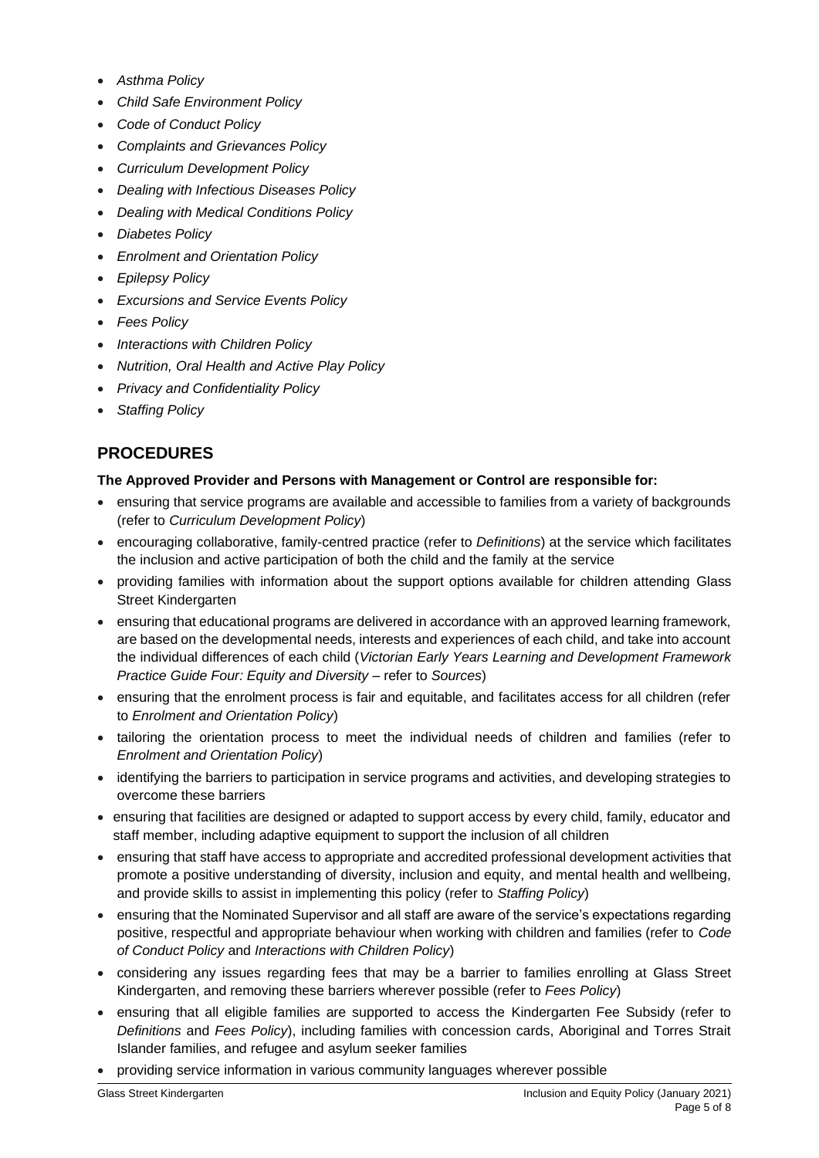- *Asthma Policy*
- *Child Safe Environment Policy*
- *Code of Conduct Policy*
- *Complaints and Grievances Policy*
- *Curriculum Development Policy*
- *Dealing with Infectious Diseases Policy*
- *Dealing with Medical Conditions Policy*
- *Diabetes Policy*
- *Enrolment and Orientation Policy*
- *Epilepsy Policy*
- *Excursions and Service Events Policy*
- *Fees Policy*
- *Interactions with Children Policy*
- *Nutrition, Oral Health and Active Play Policy*
- *Privacy and Confidentiality Policy*
- *Staffing Policy*

# **PROCEDURES**

#### **The Approved Provider and Persons with Management or Control are responsible for:**

- ensuring that service programs are available and accessible to families from a variety of backgrounds (refer to *Curriculum Development Policy*)
- encouraging collaborative, family-centred practice (refer to *Definitions*) at the service which facilitates the inclusion and active participation of both the child and the family at the service
- providing families with information about the support options available for children attending Glass Street Kindergarten
- ensuring that educational programs are delivered in accordance with an approved learning framework, are based on the developmental needs, interests and experiences of each child, and take into account the individual differences of each child (*Victorian Early Years Learning and Development Framework Practice Guide Four: Equity and Diversity* – refer to *Sources*)
- ensuring that the enrolment process is fair and equitable, and facilitates access for all children (refer to *Enrolment and Orientation Policy*)
- tailoring the orientation process to meet the individual needs of children and families (refer to *Enrolment and Orientation Policy*)
- identifying the barriers to participation in service programs and activities, and developing strategies to overcome these barriers
- ensuring that facilities are designed or adapted to support access by every child, family, educator and staff member, including adaptive equipment to support the inclusion of all children
- ensuring that staff have access to appropriate and accredited professional development activities that promote a positive understanding of diversity, inclusion and equity, and mental health and wellbeing, and provide skills to assist in implementing this policy (refer to *Staffing Policy*)
- ensuring that the Nominated Supervisor and all staff are aware of the service's expectations regarding positive, respectful and appropriate behaviour when working with children and families (refer to *Code of Conduct Policy* and *Interactions with Children Policy*)
- considering any issues regarding fees that may be a barrier to families enrolling at Glass Street Kindergarten, and removing these barriers wherever possible (refer to *Fees Policy*)
- ensuring that all eligible families are supported to access the Kindergarten Fee Subsidy (refer to *Definitions* and *Fees Policy*), including families with concession cards, Aboriginal and Torres Strait Islander families, and refugee and asylum seeker families
- providing service information in various community languages wherever possible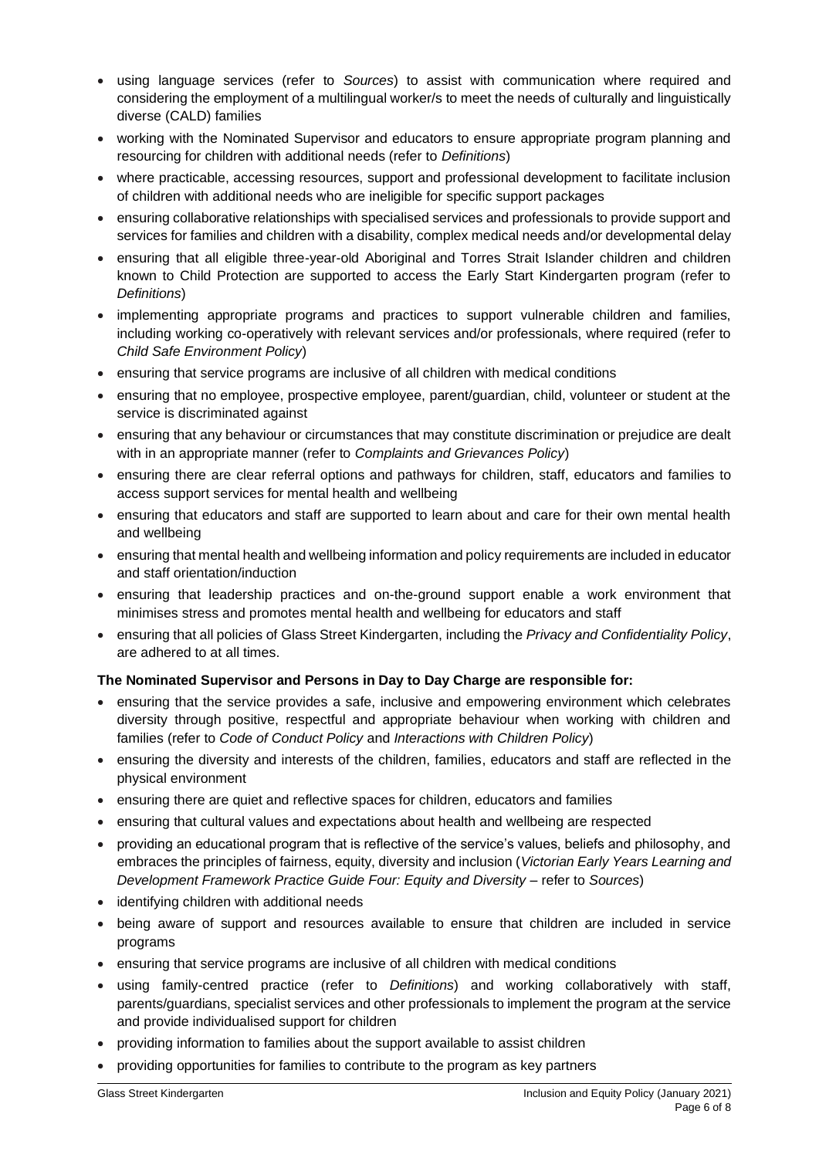- using language services (refer to *Sources*) to assist with communication where required and considering the employment of a multilingual worker/s to meet the needs of culturally and linguistically diverse (CALD) families
- working with the Nominated Supervisor and educators to ensure appropriate program planning and resourcing for children with additional needs (refer to *Definitions*)
- where practicable, accessing resources, support and professional development to facilitate inclusion of children with additional needs who are ineligible for specific support packages
- ensuring collaborative relationships with specialised services and professionals to provide support and services for families and children with a disability, complex medical needs and/or developmental delay
- ensuring that all eligible three-year-old Aboriginal and Torres Strait Islander children and children known to Child Protection are supported to access the Early Start Kindergarten program (refer to *Definitions*)
- implementing appropriate programs and practices to support vulnerable children and families, including working co-operatively with relevant services and/or professionals, where required (refer to *Child Safe Environment Policy*)
- ensuring that service programs are inclusive of all children with medical conditions
- ensuring that no employee, prospective employee, parent/guardian, child, volunteer or student at the service is discriminated against
- ensuring that any behaviour or circumstances that may constitute discrimination or prejudice are dealt with in an appropriate manner (refer to *Complaints and Grievances Policy*)
- ensuring there are clear referral options and pathways for children, staff, educators and families to access support services for mental health and wellbeing
- ensuring that educators and staff are supported to learn about and care for their own mental health and wellbeing
- ensuring that mental health and wellbeing information and policy requirements are included in educator and staff orientation/induction
- ensuring that leadership practices and on-the-ground support enable a work environment that minimises stress and promotes mental health and wellbeing for educators and staff
- ensuring that all policies of Glass Street Kindergarten, including the *Privacy and Confidentiality Policy*, are adhered to at all times.

#### **The Nominated Supervisor and Persons in Day to Day Charge are responsible for:**

- ensuring that the service provides a safe, inclusive and empowering environment which celebrates diversity through positive, respectful and appropriate behaviour when working with children and families (refer to *Code of Conduct Policy* and *Interactions with Children Policy*)
- ensuring the diversity and interests of the children, families, educators and staff are reflected in the physical environment
- ensuring there are quiet and reflective spaces for children, educators and families
- ensuring that cultural values and expectations about health and wellbeing are respected
- providing an educational program that is reflective of the service's values, beliefs and philosophy, and embraces the principles of fairness, equity, diversity and inclusion (*Victorian Early Years Learning and Development Framework Practice Guide Four: Equity and Diversity* – refer to *Sources*)
- identifying children with additional needs
- being aware of support and resources available to ensure that children are included in service programs
- ensuring that service programs are inclusive of all children with medical conditions
- using family-centred practice (refer to *Definitions*) and working collaboratively with staff, parents/guardians, specialist services and other professionals to implement the program at the service and provide individualised support for children
- providing information to families about the support available to assist children
- providing opportunities for families to contribute to the program as key partners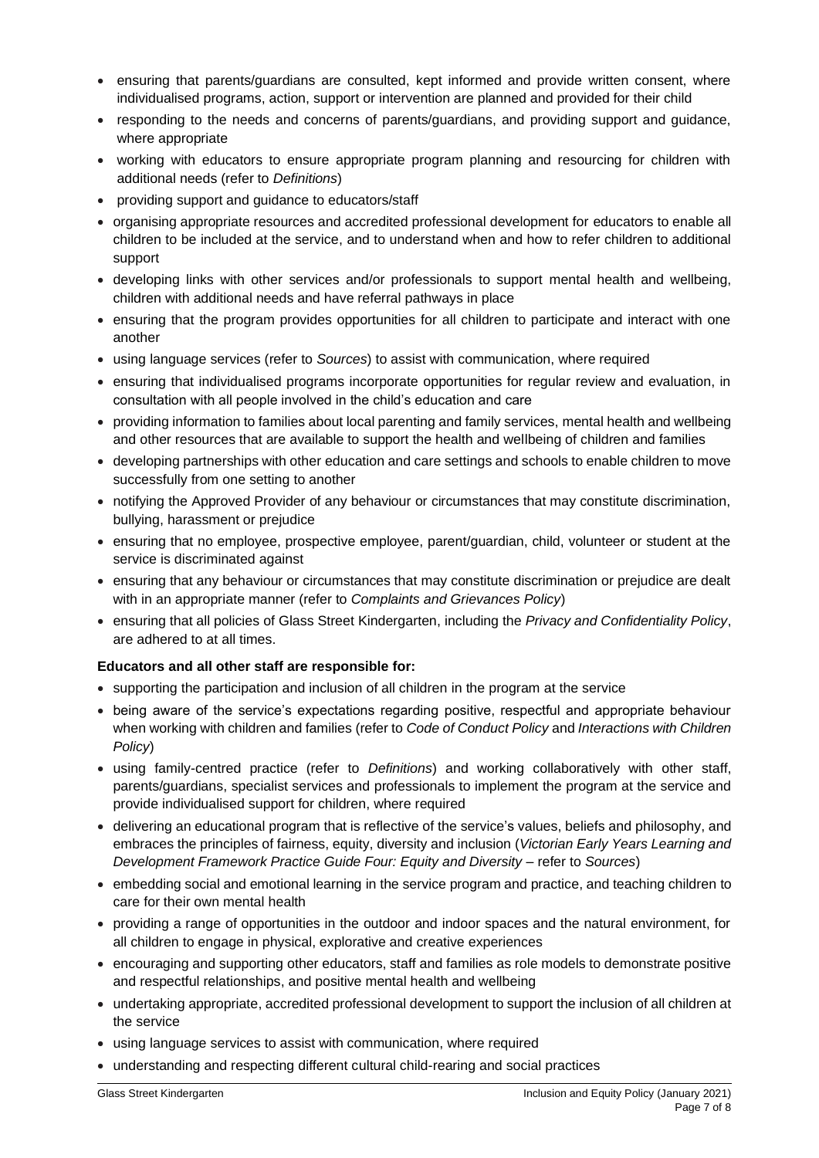- ensuring that parents/guardians are consulted, kept informed and provide written consent, where individualised programs, action, support or intervention are planned and provided for their child
- responding to the needs and concerns of parents/guardians, and providing support and guidance, where appropriate
- working with educators to ensure appropriate program planning and resourcing for children with additional needs (refer to *Definitions*)
- providing support and guidance to educators/staff
- organising appropriate resources and accredited professional development for educators to enable all children to be included at the service, and to understand when and how to refer children to additional support
- developing links with other services and/or professionals to support mental health and wellbeing, children with additional needs and have referral pathways in place
- ensuring that the program provides opportunities for all children to participate and interact with one another
- using language services (refer to *Sources*) to assist with communication, where required
- ensuring that individualised programs incorporate opportunities for regular review and evaluation, in consultation with all people involved in the child's education and care
- providing information to families about local parenting and family services, mental health and wellbeing and other resources that are available to support the health and wellbeing of children and families
- developing partnerships with other education and care settings and schools to enable children to move successfully from one setting to another
- notifying the Approved Provider of any behaviour or circumstances that may constitute discrimination, bullying, harassment or prejudice
- ensuring that no employee, prospective employee, parent/guardian, child, volunteer or student at the service is discriminated against
- ensuring that any behaviour or circumstances that may constitute discrimination or prejudice are dealt with in an appropriate manner (refer to *Complaints and Grievances Policy*)
- ensuring that all policies of Glass Street Kindergarten, including the *Privacy and Confidentiality Policy*, are adhered to at all times.

#### **Educators and all other staff are responsible for:**

- supporting the participation and inclusion of all children in the program at the service
- being aware of the service's expectations regarding positive, respectful and appropriate behaviour when working with children and families (refer to *Code of Conduct Policy* and *Interactions with Children Policy*)
- using family-centred practice (refer to *Definitions*) and working collaboratively with other staff, parents/guardians, specialist services and professionals to implement the program at the service and provide individualised support for children, where required
- delivering an educational program that is reflective of the service's values, beliefs and philosophy, and embraces the principles of fairness, equity, diversity and inclusion (*Victorian Early Years Learning and Development Framework Practice Guide Four: Equity and Diversity* – refer to *Sources*)
- embedding social and emotional learning in the service program and practice, and teaching children to care for their own mental health
- providing a range of opportunities in the outdoor and indoor spaces and the natural environment, for all children to engage in physical, explorative and creative experiences
- encouraging and supporting other educators, staff and families as role models to demonstrate positive and respectful relationships, and positive mental health and wellbeing
- undertaking appropriate, accredited professional development to support the inclusion of all children at the service
- using language services to assist with communication, where required
- understanding and respecting different cultural child-rearing and social practices